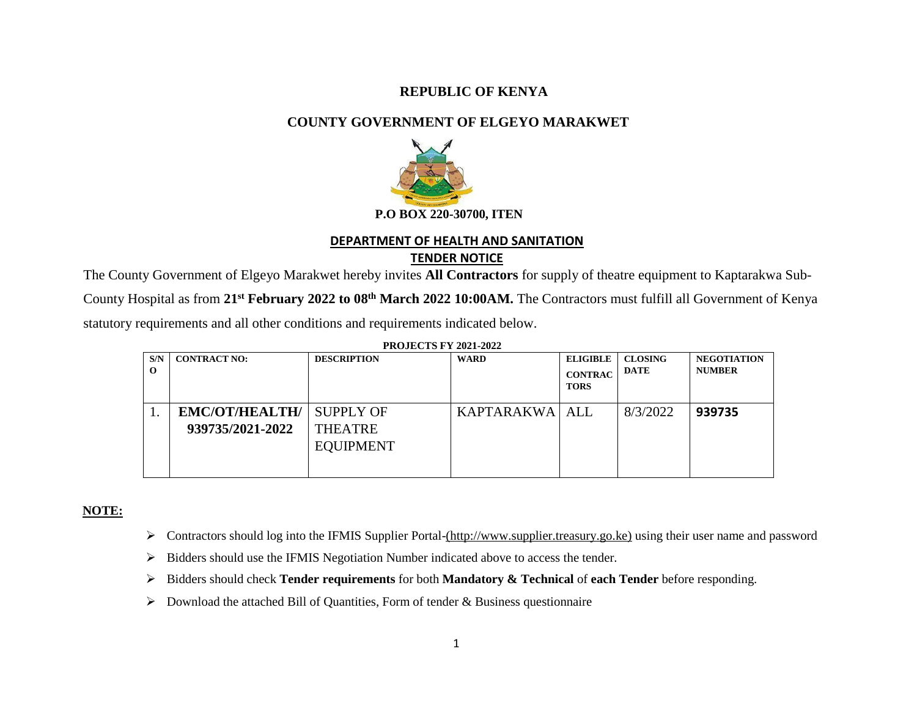### **REPUBLIC OF KENYA**

# **COUNTY GOVERNMENT OF ELGEYO MARAKWET**



#### **DEPARTMENT OF HEALTH AND SANITATION**

### **TENDER NOTICE**

The County Government of Elgeyo Marakwet hereby invites **All Contractors** for supply of theatre equipment to Kaptarakwa Sub-

County Hospital as from **21st February 2022 to 08th March 2022 10:00AM.** The Contractors must fulfill all Government of Kenya

statutory requirements and all other conditions and requirements indicated below.

| FRUJECTS F I 2021-2022 |                       |                    |                  |                               |                |                    |
|------------------------|-----------------------|--------------------|------------------|-------------------------------|----------------|--------------------|
| S/N                    | <b>CONTRACT NO:</b>   | <b>DESCRIPTION</b> | <b>WARD</b>      | <b>ELIGIBLE</b>               | <b>CLOSING</b> | <b>NEGOTIATION</b> |
| $\Omega$               |                       |                    |                  | <b>CONTRAC</b><br><b>TORS</b> | DATE           | <b>NUMBER</b>      |
|                        |                       |                    |                  |                               |                |                    |
|                        | <b>EMC/OT/HEALTH/</b> | <b>SUPPLY OF</b>   | KAPTARAKWA   ALL |                               | 8/3/2022       | 939735             |
|                        | 939735/2021-2022      | <b>THEATRE</b>     |                  |                               |                |                    |
|                        |                       | <b>EQUIPMENT</b>   |                  |                               |                |                    |
|                        |                       |                    |                  |                               |                |                    |
|                        |                       |                    |                  |                               |                |                    |

# **PROJECTS FV 2021-2022**

#### **NOTE:**

- Contractors should log into the IFMIS Supplier Portal-(http:/[/www.supplier.treasury.go.ke\)](http://www.supplier.treasury.go.ke/) using their user name and password
- $\triangleright$  Bidders should use the IFMIS Negotiation Number indicated above to access the tender.
- Bidders should check **Tender requirements** for both **Mandatory & Technical** of **each Tender** before responding.
- $\triangleright$  Download the attached Bill of Quantities, Form of tender & Business questionnaire